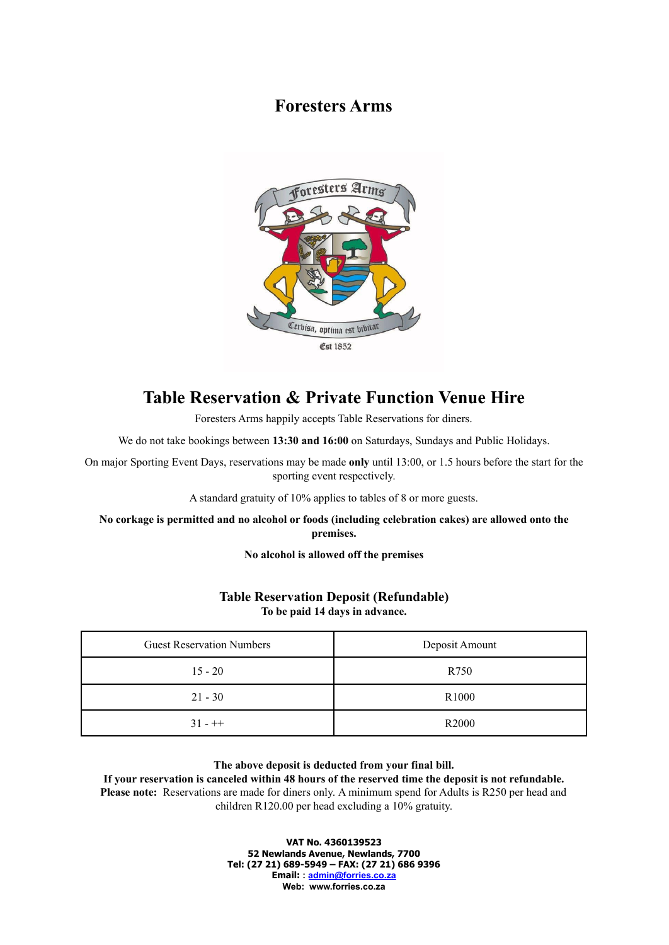## **Foresters Arms**



# **Table Reservation & Private Function Venue Hire**

Foresters Arms happily accepts Table Reservations for diners.

We do not take bookings between **13:30 and 16:00** on Saturdays, Sundays and Public Holidays.

On major Sporting Event Days, reservations may be made **only** until 13:00, or 1.5 hours before the start for the sporting event respectively.

A standard gratuity of 10% applies to tables of 8 or more guests.

**No corkage is permitted and no alcohol or foods (including celebration cakes) are allowed onto the premises.**

**No alcohol is allowed off the premises**

### **Table Reservation Deposit (Refundable) To be paid 14 days in advance.**

| <b>Guest Reservation Numbers</b> | Deposit Amount    |
|----------------------------------|-------------------|
| $15 - 20$                        | R750              |
| $21 - 30$                        | R <sub>1000</sub> |
| $31 - + +$                       | R <sub>2000</sub> |

#### **The above deposit is deducted from your final bill.**

## **If your reservation is canceled within 48 hours of the reserved time the deposit is not refundable.**

**Please note:** Reservations are made for diners only. A minimum spend for Adults is R250 per head and children R120.00 per head excluding a 10% gratuity.

> **VAT No. 4360139523 52 Newlands Avenue, Newlands, 7700 Tel: (27 21) 689-5949 – FAX: (27 21) 686 9396 Email: : [admin@forries.co.za](mailto:admin@forries.co.za) Web: www.forries.co.za**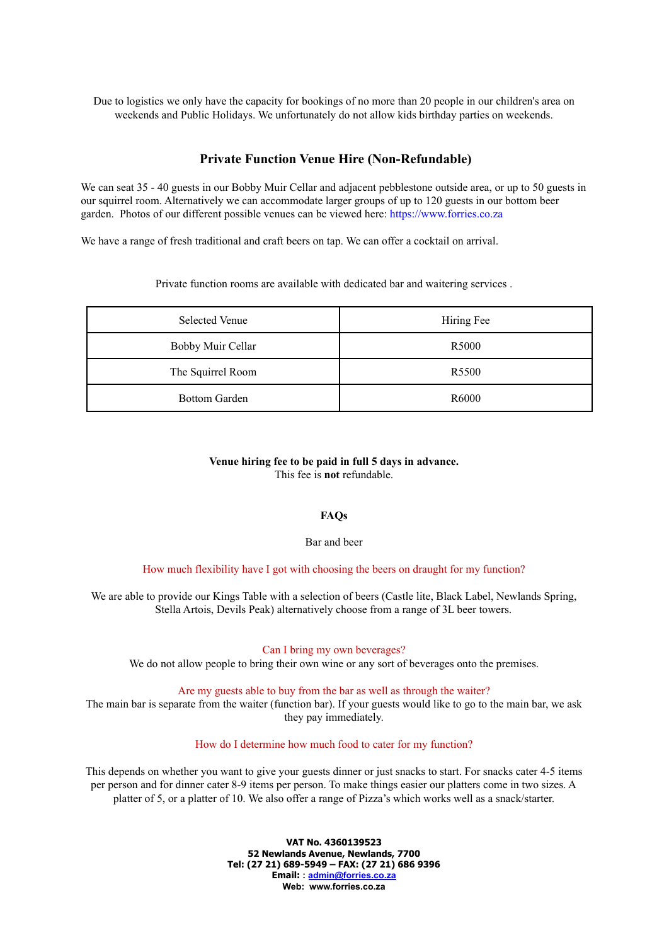Due to logistics we only have the capacity for bookings of no more than 20 people in our children's area on weekends and Public Holidays. We unfortunately do not allow kids birthday parties on weekends.

## **Private Function Venue Hire (Non-Refundable)**

We can seat 35 - 40 guests in our Bobby Muir Cellar and adjacent pebblestone outside area, or up to 50 guests in our squirrel room. Alternatively we can accommodate larger groups of up to 120 guests in our bottom beer garden. Photos of our different possible venues can be viewed here: https://www.forries.co.za

We have a range of fresh traditional and craft beers on tap. We can offer a cocktail on arrival.

Private function rooms are available with dedicated bar and waitering services .

| <b>Selected Venue</b> | Hiring Fee        |
|-----------------------|-------------------|
| Bobby Muir Cellar     | R <sub>5000</sub> |
| The Squirrel Room     | R <sub>5500</sub> |
| <b>Bottom Garden</b>  | R <sub>6000</sub> |

### **Venue hiring fee to be paid in full 5 days in advance.** This fee is **not** refundable.

#### **FAQs**

Bar and beer

How much flexibility have I got with choosing the beers on draught for my function?

We are able to provide our Kings Table with a selection of beers (Castle lite, Black Label, Newlands Spring, Stella Artois, Devils Peak) alternatively choose from a range of 3L beer towers.

#### Can I bring my own beverages?

We do not allow people to bring their own wine or any sort of beverages onto the premises.

Are my guests able to buy from the bar as well as through the waiter?

The main bar is separate from the waiter (function bar). If your guests would like to go to the main bar, we ask they pay immediately.

How do I determine how much food to cater for my function?

This depends on whether you want to give your guests dinner or just snacks to start. For snacks cater 4-5 items per person and for dinner cater 8-9 items per person. To make things easier our platters come in two sizes. A platter of 5, or a platter of 10. We also offer a range of Pizza's which works well as a snack/starter.

> **VAT No. 4360139523 52 Newlands Avenue, Newlands, 7700 Tel: (27 21) 689-5949 – FAX: (27 21) 686 9396 Email: : [admin@forries.co.za](mailto:admin@forries.co.za) Web: www.forries.co.za**